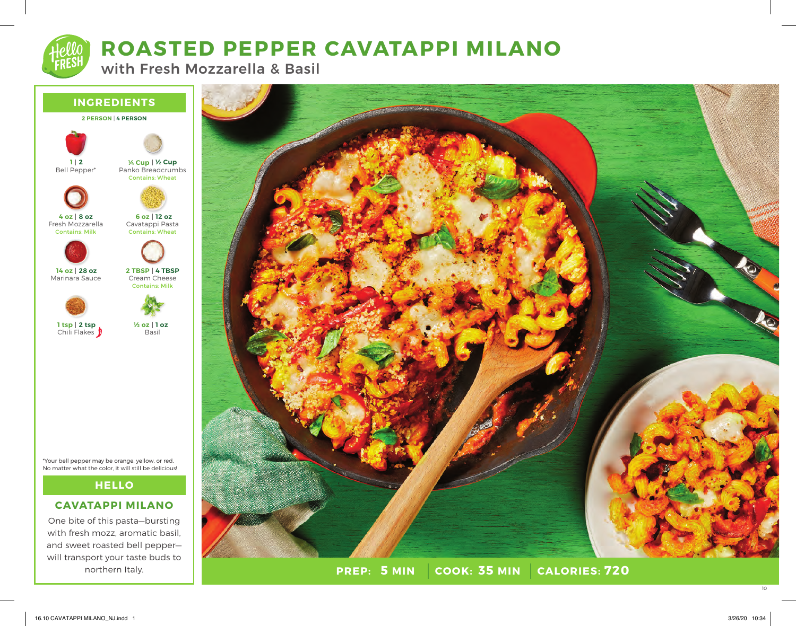

# **ROASTED PEPPER CAVATAPPI MILANO**

with Fresh Mozzarella & Basil



\*Your bell pepper may be orange, yellow, or red. No matter what the color, it will still be delicious!

# **HELLO**

# **CAVATAPPI MILANO**

One bite of this pasta—bursting with fresh mozz, aromatic basil. and sweet roasted bell pepper will transport your taste buds to northern Italy.



**PREP: 5 MIN | COOK: 35 MIN 5 MIN 35 MIN 720**

10